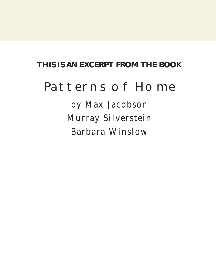# **THIS IS AN EXCERPT FROM THE BOOK** Patterns of Home by Max Jacobson Murray Silverstein

Barbara Winslow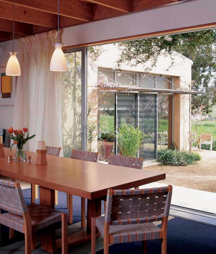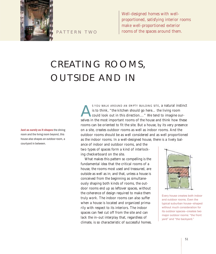

PATTERN TWO

*Well-designed homes with wellproportioned, satisfying interior rooms make well-proportioned exterior rooms of the spaces around them.*

## CREATING ROOMS, OUTSIDE AND IN

Just as surely as it shapes the dining room and the living room beyond, this house also shapes an outdoor room, a courtyard in between.

S YOU WALK AROUND AN EMPTY BUILDING SITE, a natural instinct<br>is to think, "the kitchen should go here... the living room<br>could look out in this direction...." We tend to imagine ouris to think, "the kitchen should go here… the living room could look out in this direction.…" We tend to imagine ourselves in the most important rooms of the house and think how these rooms can be oriented to fit the site. But a house, by its very presence on a site, creates outdoor rooms as well as indoor rooms. And the outdoor rooms should be as well considered and as well proportioned as the indoor rooms. In a well-designed house, there is a lively bal-

ance of indoor and outdoor rooms, and the two types of spaces form a kind of interlocking checkerboard on the site.

What makes this pattern so compelling is the fundamental idea that the critical *rooms* of a house, the rooms most used and treasured, are outside as well as in; and that, unless a house is conceived from the beginning as simultaneously shaping *both* kinds of rooms, the outdoor rooms end up as leftover spaces, without the coherence of design required to make them truly work. The indoor rooms can also suffer when a house is located and organized primarily with respect to its interiors. The indoor spaces can feel cut off from the site and can lack the in–out interplay that, regardless of climate, is so characteristic of successful homes.



Every house creates both indoor and outdoor rooms. Even the typical suburban house—shaped without much consideration for its outdoor spaces—creates two major outdoor rooms: "the front yard" and "the backyard."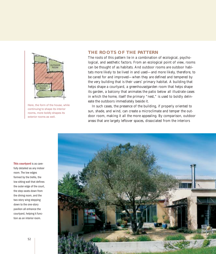

Here, the form of the house, while continuing to shape its interior rooms, more boldly shapes its exterior rooms as well.

#### **THE ROOTS OF THE PATTERN**

The roots of this pattern lie in a combination of ecological, psychological, and aesthetic factors. From an ecological point of view, rooms can be thought of as habitats. And outdoor rooms are outdoor habitats more likely to be lived in and used—and more likely, therefore, to be cared for and improved—when they are defined and tempered by the very building that is their users' primary habitat. A building that helps shape a courtyard, a greenhouse/garden room that helps shape its garden, a balcony that animates the patio below all illustrate cases in which the home, itself the primary "nest," is used to boldly delineate the outdoors immediately beside it.

In such cases, the presence of the building, if properly oriented to sun, shade, and wind, can create a microclimate and temper the outdoor room, making it all the more appealing. By comparison, outdoor areas that are largely leftover spaces, dissociated from the interiors



This courtyard is as carefully detailed as any indoor room. The low edges formed by the trellis, the low sitting wall that defines the outer edge of the court, the step-seats down from the dining room, and the two-story wing stepping down to the one-story pavilion all enhance the courtyard, helping it function as an interior room.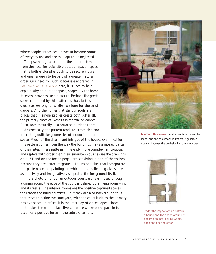where people gather, tend never to become rooms of everyday use and are thus apt to be neglected.

The psychological basis for the pattern stems from the need for defensible outdoor space—space that is both enclosed enough to be securely *ours* and open enough to be part of a greater natural order. Our need for such spaces is elaborated in Refuge and Outlook; here, it is used to help explain why an outdoor space, shaped by the home it serves, provides such pleasure. Perhaps the great secret contained by this pattern is that, just as deeply as we long for shelter, we long for sheltered gardens. And the homes that stir our souls are places that in single strokes create both. After all, the primary place of Genesis is the walled garden. Eden, architecturally, is a squarish outdoor room.

Aesthetically, the pattern tends to create rich and interesting quiltlike geometries of indoor/outdoor

space. Much of the charm and intrigue of the houses examined for this pattern comes from the way the buildings make a mosaic pattern of their sites. These patterns, inherently more complex, ambiguous, and replete with order than their suburban cousins (see the drawings on p. 51 and on the facing page), are satisfying in and of themselves because they are better integrated. Houses and sites that incorporate this pattern are like paintings in which the so-called negative space is as positively and imaginatively shaped as the foreground itself.

In the photo on p. 50, an outdoor courtyard is glimpsed through a dining room; the edge of the court is defined by a living room wing and its trellis. The interior rooms are the positive captured spaces, the reason the building exists… but they are also background foils that serve to define the courtyard, with the court itself as the primary positive space. In effect, it is the interplay of closed–open–closed that makes the whole place lively, a place where each space in turn becomes a positive force in the entire ensemble.



In effect, this house contains two living rooms: the indoor one and its outdoor equivalent. A generous opening between the two helps knit them together.



Under the impact of this pattern, a house and the space around it become an interlocking whole, each shaping the other.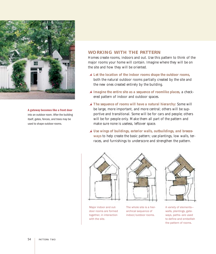

A gateway becomes like a front door into an outdoor room. After the building itself, gates, fences, and trees may be used to shape outdoor rooms.

#### **WORKING WITH THE PATTERN**

Homes create rooms, indoors and out. Use this pattern to think of the major rooms your home will contain. Imagine where they will be on the site and how they will be oriented.

- *Let the location of the indoor rooms shape the outdoor rooms,* both the natural outdoor rooms partially created by the site and the new ones created entirely by the building.
- *Imagine the entire site as a sequence of roomlike places,* a checkered pattern of indoor and outdoor spaces.
- *The sequence of rooms will have a natural hierarchy:* Some will be large, more important, and more central; others will be supportive and transitional. Some will be for cars and people; others will be for people only. Make them all part of the pattern and make sure none is useless, leftover space.
- *Use wings of buildings, exterior walls, outbuildings, and breezeways* to help create the basic pattern; use plantings, low walls, terraces, and furnishings to underscore and strengthen the pattern.







Major indoor and outdoor rooms are formed together, in interaction with the site.

The whole site is a hierarchical sequence of indoor/outdoor rooms.

A variety of elements walls, plantings, gateways, paths—are used to define and embellish the pattern of rooms.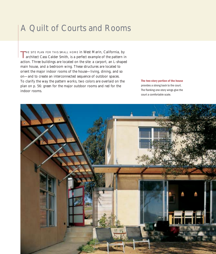### A Quilt of Courts and Rooms

THE SITE PLAN FOR THIS SMALL HOME in West Marin, California, by architect Cass Calder Smith, is a perfect example of the pattern in action. Three buildings are located on the site: a carport, an L-shaped main house, and a bedroom wing. These structures are located to orient the major indoor rooms of the house—living, dining, and so on—and to create an interconnected sequence of outdoor spaces. To clarify the way the pattern works, two colors are overlaid on the plan on p. 56: green for the major outdoor rooms and red for the indoor rooms.

The two-story portion of the house provides a strong back to the court. The flanking one-story wings give the court a comfortable scale.

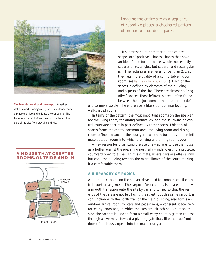

#### The two-story wall and the carport together define a north-facing court, the first outdoor room, a place to arrive and to leave the car behind. The two-story "back" buffers the court on the southern side of the site from prevailing winds.

#### **A HOUSE THAT CREATES ROOMS, OUTSIDE AND IN**



*Imagine the entire site as a sequence of roomlike places, a checkered pattern of indoor and outdoor spaces.*

It's interesting to note that all the colored shapes are "positive" shapes, shapes that have an identifiable form and feel whole, not exactly squares or rectangles, but square- and rectangular*ish*. The rectangles are never longer than 2:1, so they retain the quality of a comfortable indoor room (see Parts in Proportion). Each of the spaces is defined by elements of the building and aspects of the site. There are almost no "negative" spaces, those leftover places—often found between the major rooms—that are hard to define

and to make usable. The entire site is like a quilt of interlocking, well-shaped rooms.

In terms of the pattern, the most important rooms on the site plan are the living room, the dining room/study, and the south-facing central courtyard that is in part defined by these spaces. This trio of spaces forms the central common area: the living room and dining room define and anchor the courtyard, which in turn provides an intimate outdoor room into which the living and dining rooms open.

A key reason for organizing the site this way was to use the house as a buffer against the prevailing northerly winds, creating a protected courtyard open to a view. In this climate, where days are often sunny but cool, the building tempers the microclimate of the court, making it a comfortable room.

#### A HIERARCHY OF ROOMS

All the other rooms on the site are developed to complement the central court arrangement. The carport, for example, is located to allow a smooth transition onto the site by car and turned so that the rear ends of the cars are not left facing the street. But this same carport, in conjunction with the north wall of the main building, also forms an outdoor arrival room for cars and pedestrians, a coherent space, reinforced by landscape, in which the cars are left behind. On its south side, the carport is used to form a small entry court, a garden to pass through as we move toward a pivoting gate that, like the true front door of the house, opens into the main courtyard.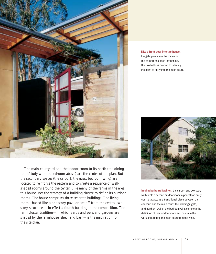

The main courtyard and the indoor room to its north (the dining room/study with its bedroom above) are the center of the plan. But the secondary spaces (the carport, the guest bedroom wing) are located to reinforce the pattern and to create a sequence of wellshaped rooms around the center. Like many of the farms in the area, this house uses the strategy of a building cluster to define its outdoor rooms. The house comprises three separate buildings. The living room, shaped like a one-story pavilion set off from the central twostory structure, is in effect a fourth building in the composition. The farm cluster tradition—in which yards and pens and gardens are shaped by the farmhouse, shed, and barn—is the inspiration for the site plan.

Like a front door into the house, the gate pivots into the main court. The carport has been left behind. The two trellises overlap to intensify the point of entry into the main court.



In checkerboard fashion, the carport and two-story wall create a second outdoor room: a pedestrian entry court that acts as a transitional place between the car court and the main court. The plantings, gate, and northern wall of the bedroom wing complete the definition of this outdoor room and continue the work of buffering the main court from the wind.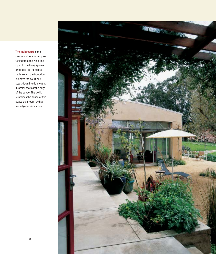The main court is the central outdoor room, protected from the wind and open to the living spaces around it. The concrete path toward the front door is above the court and steps down into it, creating informal seats at the edge of the space. The trellis reinforces the sense of this space as a room, with a low edge for circulation.

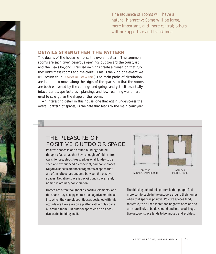*The sequence of rooms will have a natural hierarchy: Some will be large, more important, and more central; others will be supportive and transitional.*

#### **DETAILS STRENGTHEN THE PATTERN**

The details of the house reinforce the overall pattern. The common rooms are each given generous openings out toward the courtyard and the views beyond. Trellised awnings create a transition that further links these rooms and the court. (This is the kind of element we will return to in Places in Between.) The main paths of circulation are laid out to move along the edges of the spaces, so that the rooms are both enlivened by the comings and goings and yet left essentially intact. Landscape features—plantings and low retaining walls—are used to strengthen the shape of the rooms.

An interesting detail in this house, one that again underscores the overall pattern of spaces, is the gate that leads to the main courtyard

#### THE PLEASURE OFPOSITIVE OUTDOOR SPACE

Positive spaces in and around buildings can be thought of as areas that have enough definition—from walls, fences, steps, trees, edges of all kinds—to be seen and experienced as coherent, nameable places. Negative spaces are those fragments of space that are often leftover around and between the positive spaces. Negative space is background space, rarely named in ordinary conversation.

Homes are often thought of as positive elements, and the space they occupy merely the negative emptiness into which they are placed. Houses designed with this attitude are like cakes on a platter, with empty space all around them. But outdoor space can be as positive as the building itself.



SPACE AS NEGATIVE BACKGROUND



SPACE AS POSITIVE PLACE

The thinking behind this pattern is that people feel more comfortable in the outdoors around their homes when that space is positive. Positive spaces tend, therefore, to be used more than negative ones and so are more likely to be developed and improved. Negative outdoor space tends to be unused and avoided.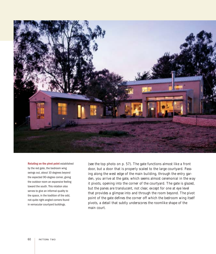

Rotating on the pivot point established by the red gate, the bedroom wing swings out, about 10 degrees beyond the expected 90-degree corner, giving the outdoor room an expansive feeling toward the south. This rotation also serves to give an informal quality to the space, in the tradition of the odd, not-quite-right-angled corners found in vernacular courtyard buildings.

(see the top photo on p. 57). The gate functions almost like a front door, but a door that is properly scaled to the large courtyard. Passing along the west edge of the main building, through the entry garden, you arrive at the gate, which seems almost ceremonial in the way it pivots, opening into the corner of the courtyard. The gate is glazed, but the panes are translucent, not clear, except for one at eye level that provides a glimpse into and through the room beyond. The pivot point of the gate defines the corner off which the bedroom wing itself pivots, a detail that subtly underscores the roomlike shape of the main court.